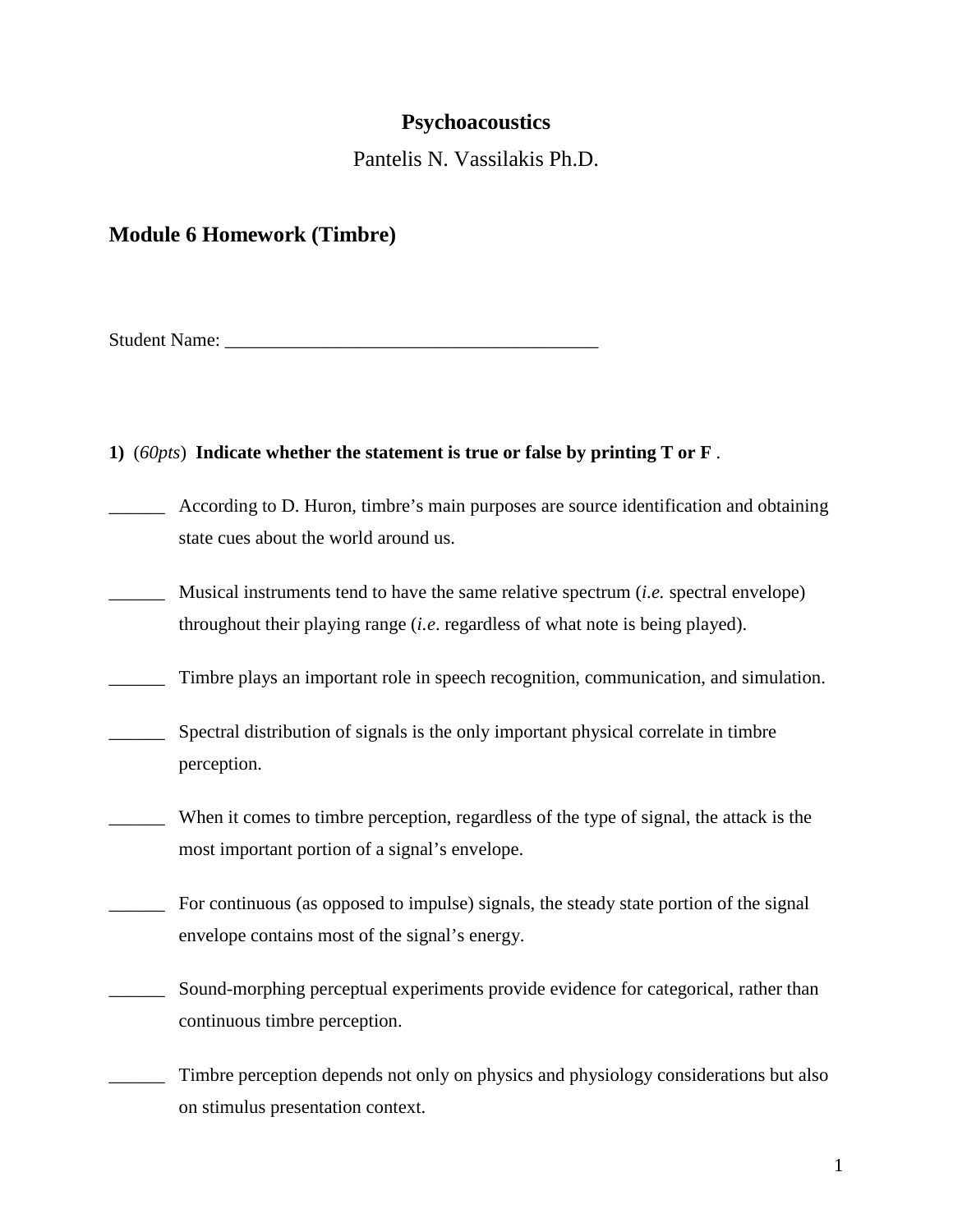# **Psychoacoustics**

Pantelis N. Vassilakis Ph.D.

# **Module 6 Homework (Timbre)**

Student Name:

#### **1)** (*60pts*) **Indicate whether the statement is true or false by printing T or F** .

- \_\_\_\_\_\_ According to D. Huron, timbre's main purposes are source identification and obtaining state cues about the world around us.
- \_\_\_\_\_\_ Musical instruments tend to have the same relative spectrum (*i.e.* spectral envelope) throughout their playing range (*i.e*. regardless of what note is being played).
- \_\_\_\_\_\_ Timbre plays an important role in speech recognition, communication, and simulation.
- \_\_\_\_\_\_ Spectral distribution of signals is the only important physical correlate in timbre perception.
- \_\_\_\_\_\_ When it comes to timbre perception, regardless of the type of signal, the attack is the most important portion of a signal's envelope.
- \_\_\_\_\_\_ For continuous (as opposed to impulse) signals, the steady state portion of the signal envelope contains most of the signal's energy.
- \_\_\_\_\_\_ Sound-morphing perceptual experiments provide evidence for categorical, rather than continuous timbre perception.
- \_\_\_\_\_\_ Timbre perception depends not only on physics and physiology considerations but also on stimulus presentation context.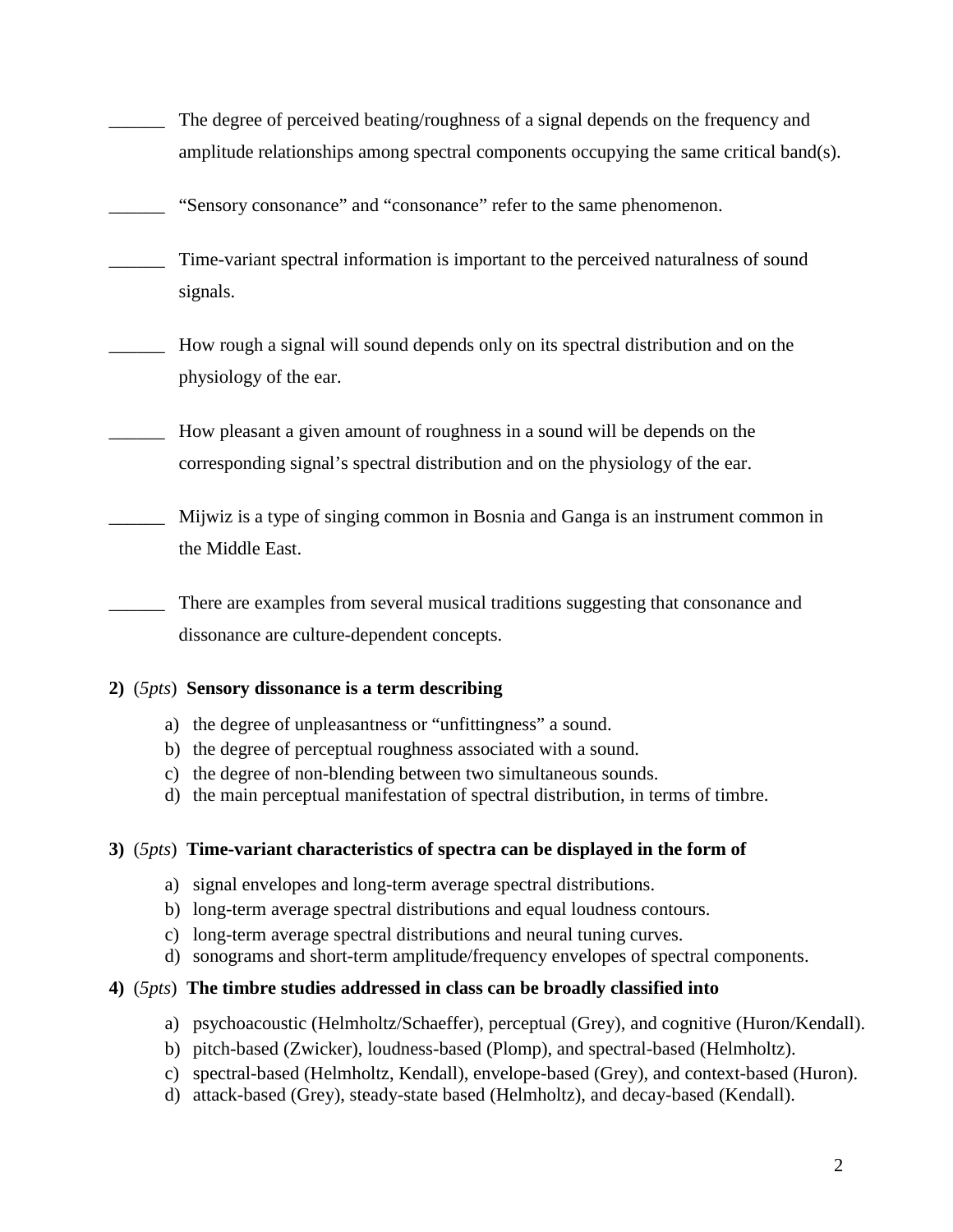- The degree of perceived beating/roughness of a signal depends on the frequency and amplitude relationships among spectral components occupying the same critical band(s).
- "Sensory consonance" and "consonance" refer to the same phenomenon.
- Time-variant spectral information is important to the perceived naturalness of sound signals.
- \_\_\_\_\_\_ How rough a signal will sound depends only on its spectral distribution and on the physiology of the ear.
- \_\_\_\_\_\_ How pleasant a given amount of roughness in a sound will be depends on the corresponding signal's spectral distribution and on the physiology of the ear.
- \_\_\_\_\_\_ Mijwiz is a type of singing common in Bosnia and Ganga is an instrument common in the Middle East.

There are examples from several musical traditions suggesting that consonance and dissonance are culture-dependent concepts.

# **2)** (*5pts*) **Sensory dissonance is a term describing**

- a) the degree of unpleasantness or "unfittingness" a sound.
- b) the degree of perceptual roughness associated with a sound.
- c) the degree of non-blending between two simultaneous sounds.
- d) the main perceptual manifestation of spectral distribution, in terms of timbre.

# **3)** (*5pts*) **Time-variant characteristics of spectra can be displayed in the form of**

- a) signal envelopes and long-term average spectral distributions.
- b) long-term average spectral distributions and equal loudness contours.
- c) long-term average spectral distributions and neural tuning curves.
- d) sonograms and short-term amplitude/frequency envelopes of spectral components.

# **4)** (*5pts*) **The timbre studies addressed in class can be broadly classified into**

- a) psychoacoustic (Helmholtz/Schaeffer), perceptual (Grey), and cognitive (Huron/Kendall).
- b) pitch-based (Zwicker), loudness-based (Plomp), and spectral-based (Helmholtz).
- c) spectral-based (Helmholtz, Kendall), envelope-based (Grey), and context-based (Huron).
- d) attack-based (Grey), steady-state based (Helmholtz), and decay-based (Kendall).